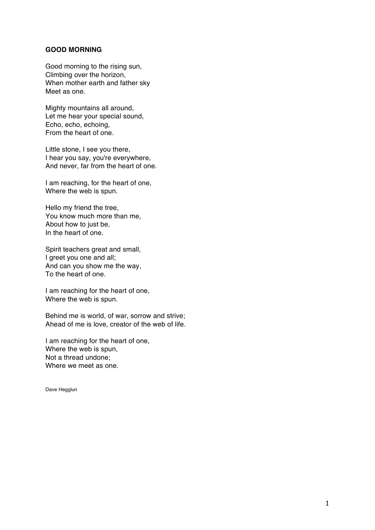### **GOOD MORNING**

Good morning to the rising sun, Climbing over the horizon, When mother earth and father sky Meet as one.

Mighty mountains all around, Let me hear your special sound, Echo, echo, echoing, From the heart of one.

Little stone, I see you there, I hear you say, you're everywhere, And never, far from the heart of one.

I am reaching, for the heart of one, Where the web is spun.

Hello my friend the tree, You know much more than me, About how to just be, In the heart of one.

Spirit teachers great and small, I greet you one and all; And can you show me the way, To the heart of one.

I am reaching for the heart of one, Where the web is spun.

Behind me is world, of war, sorrow and strive; Ahead of me is love, creator of the web of life.

I am reaching for the heart of one, Where the web is spun, Not a thread undone; Where we meet as one.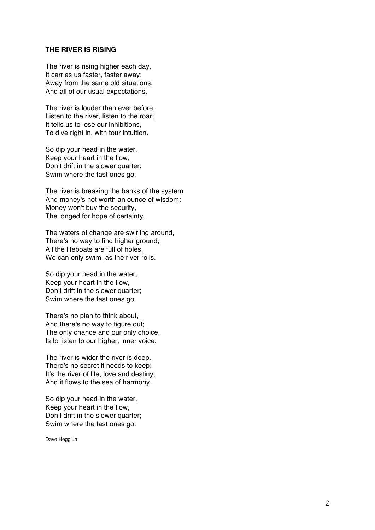#### **THE RIVER IS RISING**

The river is rising higher each day , It carries us faster, faster away ; Away from the same old situations, And all of our usual expectations.

The river is louder than ever before , Listen to the river, listen to the roar; It tells us to lose our inhibitions, To dive right in , with tour intuition .

So dip your head in the water , Keep your heart in the flow , Don't drift in the slower quarter; Swim where the fast ones go .

The river is breaking the banks of the system , And money's not worth an ounce of wisdom; Money won't buy the security , The longed for hope o f certainty .

The waters of change are swirling around, There's no way to find higher ground ; All the lifeboats are full of holes, We can only swim , as the river rolls.

So dip your head in the water , Keep your heart in the flow , Don't drift in the slower quarter; Swim where the fast ones go.

There's no plan to think about , And there's no way to figure out ; The only chance and our only choice , Is to listen to our higher, inner voice .

The river is wider the river is deep , There's no secret it needs to keep ; It's the river of life, love and destiny , And it flows to the sea of harmony .

So dip your head in the water , Keep your heart in the flow , Don't drift in the slower quarter; Swim where the fast ones go.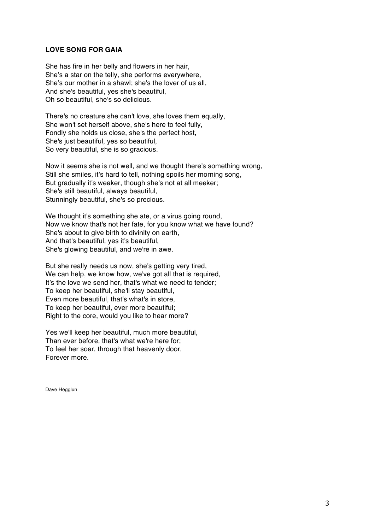# **LOVE SONG FOR GAIA**

She has fire in her belly and flowers in her hair, She's a star on the telly, she performs everywhere, She's our mother in a shawl; she's the lover of us all, And she's beautiful, yes she's beautiful, Oh so beautiful, she's so delicious.

There's no creature she can't love, she loves them equally, She won't set herself above, she's here to feel fully, Fondly she holds us close, she's the perfect host, She's just beautiful, yes so beautiful, So very beautiful, she is so gracious.

Now it seems she is not well, and we thought there's something wrong, Still she smiles, it's hard to tell, nothing spoils her morning song, But gradually it's weaker, though she's not at all meeker; She's still beautiful, always beautiful, Stunningly beautiful, she's so precious.

We thought it's something she ate, or a virus going round, Now we know that's not her fate, for you know what we have found? She's about to give birth to divinity on earth, And that's beautiful, yes it's beautiful, She's glowing beautiful, and we're in awe.

But she really needs us now, she's getting very tired, We can help, we know how, we've got all that is required, It's the love we send her, that's what we need to tender; To keep her beautiful, she'll stay beautiful, Even more beautiful, that's what's in store, To keep her beautiful, ever more beautiful; Right to the core, would you like to hear more?

Yes we'll keep her beautiful, much more beautiful, Than ever before, that's what we're here for; To feel her soar, through that heavenly door, Forever more.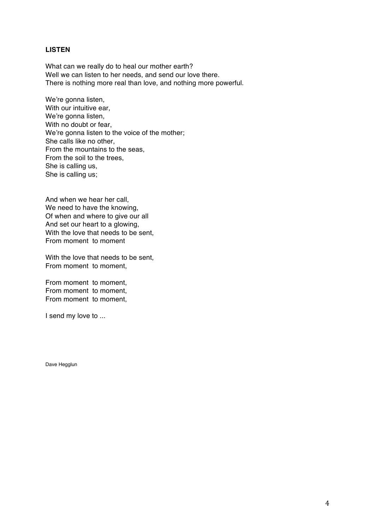# **LISTEN**

What can we really do to heal our mother earth? Well we can listen to her needs, and send our love there. There is nothing more real than love, and nothing more powerful.

We're gonna listen, With our intuitive ear, We're gonna listen, With no doubt or fear, We're gonna listen to the voice of the mother; She calls like no other, From the mountains to the seas, From the soil to the trees, She is calling us, She is calling us;

And when we hear her call, We need to have the knowing, Of when and where to give our all And set our heart to a glowing, With the love that needs to be sent, From moment to moment

With the love that needs to be sent, From moment to moment,

From moment to moment, From moment to moment, From moment to moment,

I send my love to ...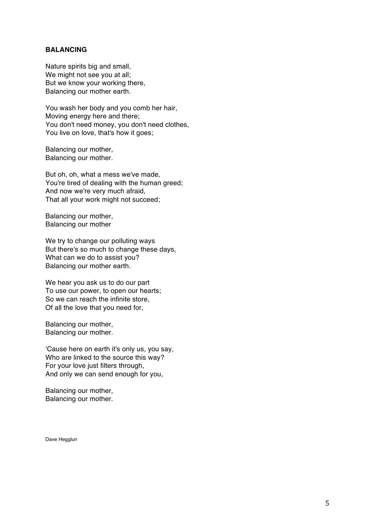### **BALANCING**

Nature spirits big and small, We might not see you at all; But we know your working there, Balancing our mother earth.

You wash her body and you comb her hair, Moving energy here and there; You don't need money, you don't need clothes, You live on love, that's how it goes;

Balancing our mother, Balancing our mother.

But oh, oh, what a mess we've made, You're tired of dealing with the human greed; And now we're very much afraid, That all your work might not succeed;

Balancing our mother, Balancing our mother

We try to change our polluting ways But there's so much to change these days, What can we do to assist you? Balancing our mother earth.

We hear you ask us to do our part To use our power, to open our hearts; So we can reach the infinite store, Of all the love that you need for,

Balancing our mother, Balancing our mother.

'Cause here on earth it's only us, you say, Who are linked to the source this way? For your love just filters through, And only we can send enough for you,

Balancing our mother, Balancing our mother.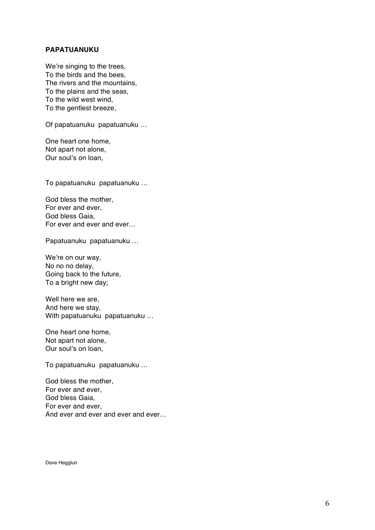#### **PAPATUANUKU**

We're singing to the trees , To the birds and the bees , The rivers and the mountains , To the plains and the seas , To the wild west wind , To the gent lest breeze ,

Of papatuanuku papatuanuku …

One heart one home , Not apart not alone , Our soul 's on loan ,

To papatuanuku papatuanuku …

God bless the mother , For ever and ever , God bless Gaia , For ever and ever and ever…

Papatuanuku papatuanuku …

We're on our way , No no no delay , Going back to the future , To a bright new day ;

Well here we are , And here we stay , With papatuanuku papatuanuku ...

One heart one home , Not apart not alone , Our soul 's on loan ,

To papatuanuku papatuanuku …

God bless the mother , For ever and ever , God bless Gaia , For ever and ever , And ever and ever and ever and ever…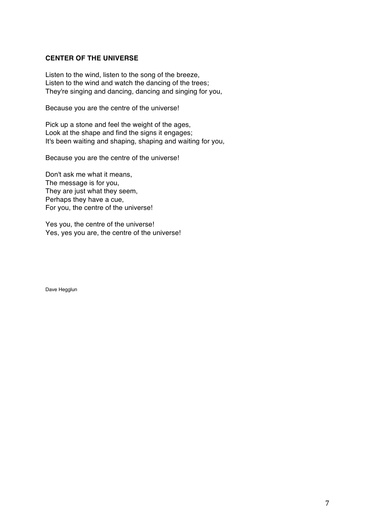# **CENTER OF THE UNIVERSE**

Listen to the wind, listen to the song of the breeze, Listen to the wind and watch the dancing of the trees; They're singing and dancing, dancing and singing for you,

Because you are the centre of the universe!

Pick up a stone and feel the weight of the ages, Look at the shape and find the signs it engages; It's been waiting and shaping, shaping and waiting for you,

Because you are the centre of the universe!

Don't ask me what it means, The message is for you, They are just what they seem, Perhaps they have a cue, For you, the centre of the universe!

Yes you, the centre of the universe! Yes, yes you are, the centre of the universe!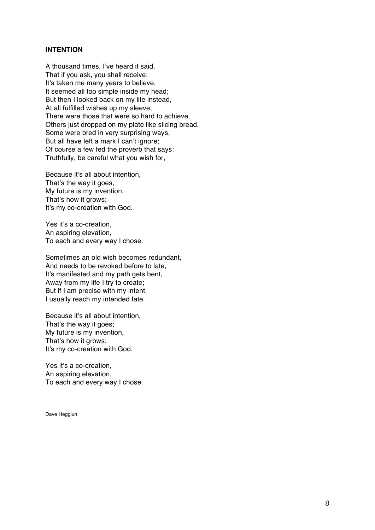### **INTENTION**

A thousand times, I've heard it said, That if you ask, you shall receive; It's taken me many years to believe, It seemed all too simple inside my head; But then I looked back on my life instead, At all fulfilled wishes up my sleeve, There were those that were so hard to achieve, Others just dropped on my plate like slicing bread. Some were bred in very surprising ways, But all have left a mark I can't ignore; Of course a few fed the proverb that says: Truthfully, be careful what you wish for,

Because it's all about intention, That's the way it goes. My future is my invention, That's how it grows; It's my co-creation with God.

Yes it's a co-creation, An aspiring elevation, To each and every way I chose.

Sometimes an old wish becomes redundant, And needs to be revoked before to late, It's manifested and my path gets bent, Away from my life I try to create; But if I am precise with my intent, I usually reach my intended fate.

Because it's all about intention, That's the way it goes; My future is my invention, That's how it grows; It's my co-creation with God.

Yes it's a co-creation, An aspiring elevation, To each and every way I chose.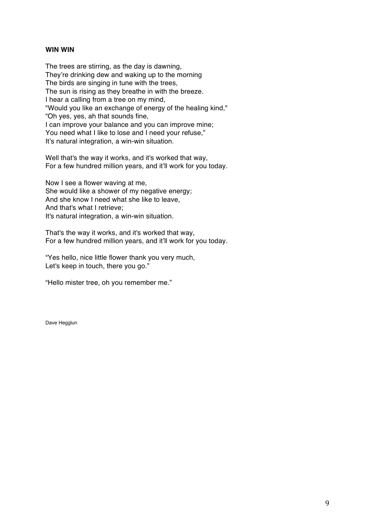# **WIN WIN**

The trees are stirring, as the day is dawning, They're drinking dew and waking up to the morning The birds are singing in tune with the trees, The sun is rising as they breathe in with the breeze. I hear a calling from a tree on my mind, "Would you like an exchange of energy of the healing kind," "Oh yes, yes, ah that sounds fine, I can improve your balance and you can improve mine; You need what I like to lose and I need your refuse," It's natural integration, a win-win situation.

Well that's the way it works, and it's worked that way, For a few hundred million years, and it'll work for you today.

Now I see a flower waving at me, She would like a shower of my negative energy; And she know I need what she like to leave, And that's what I retrieve; It's natural integration, a win-win situation.

That's the way it works, and it's worked that way, For a few hundred million years, and it'll work for you today.

"Yes hello, nice little flower thank you very much, Let's keep in touch, there you go."

"Hello mister tree, oh you remember me."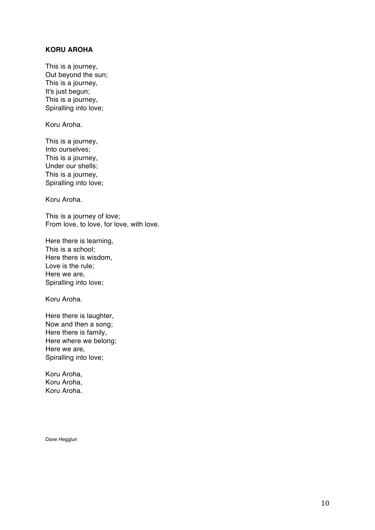### **KORU AROHA**

This is a journey , Out beyond the sun ; This is a journey , It's just begun ; This is a journey , Spiralling into love ;

Koru Aroha .

This is a journey , Into ourselves ; This is a journey , Under our shells; This is a journey , Spiralling into love ;

Koru Aroha .

This is a journey of love ; From love , to love , for love , with love .

Here there is learning , This is a school ; Here there is wisdom , Love is the rule ; Here we are , Spiralling into love ;

Koru Aroha .

Here there is laughter , Now and then a song; Here there is family, Here where we belong ; Here we are , Spiralling into love ;

Koru Aroha , Koru Aroha , Koru Aroha .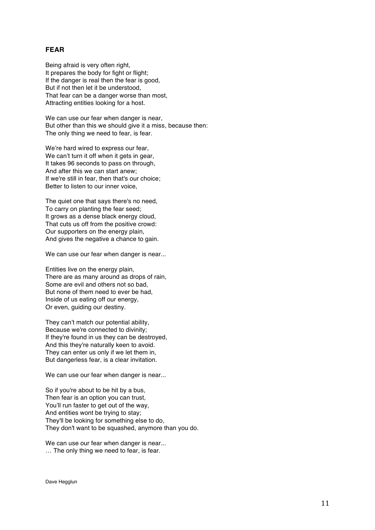#### **FEAR**

Being afraid is very often right, It prepares the body for fight or flight; If the danger is real then the fear is good, But if not then let it be understood, That fear can be a danger worse than most, Attracting entities looking for a host.

We can use our fear when danger is near, But other than this we should give it a miss, because then: The only thing we need to fear, is fear.

We're hard wired to express our fear, We can't turn it off when it gets in gear, It takes 96 seconds to pass on through, And after this we can start anew; If we're still in fear, then that's our choice; Better to listen to our inner voice,

The quiet one that says there's no need, To carry on planting the fear seed; It grows as a dense black energy cloud, That cuts us off from the positive crowd: Our supporters on the energy plain, And gives the negative a chance to gain.

We can use our fear when danger is near...

Entities live on the energy plain, There are as many around as drops of rain, Some are evil and others not so bad, But none of them need to ever be had, Inside of us eating off our energy, Or even, guiding our destiny.

They can't match our potential ability, Because we're connected to divinity; If they're found in us they can be destroyed, And this they're naturally keen to avoid. They can enter us only if we let them in, But dangerless fear, is a clear invitation.

We can use our fear when danger is near...

So if you're about to be hit by a bus, Then fear is an option you can trust, You'll run faster to get out of the way. And entities wont be trying to stay; They'll be looking for something else to do, They don't want to be squashed, anymore than you do.

We can use our fear when danger is near... … The only thing we need to fear, is fear.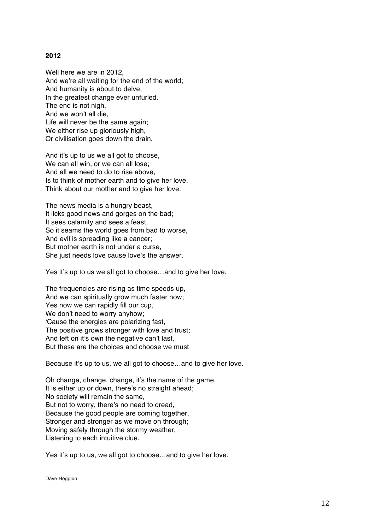# **2012**

Well here we are in 2012, And we're all waiting for the end of the world; And humanity is about to delve, In the greatest change ever unfurled. The end is not nigh, And we won't all die, Life will never be the same again; We either rise up gloriously high, Or civilisation goes down the drain.

And it's up to us we all got to choose, We can all win, or we can all lose; And all we need to do to rise above, Is to think of mother earth and to give her love. Think about our mother and to give her love.

The news media is a hungry beast, It licks good news and gorges on the bad; It sees calamity and sees a feast, So it seams the world goes from bad to worse, And evil is spreading like a cancer; But mother earth is not under a curse, She just needs love cause love's the answer.

Yes it's up to us we all got to choose…and to give her love.

The frequencies are rising as time speeds up, And we can spiritually grow much faster now; Yes now we can rapidly fill our cup, We don't need to worry anyhow; 'Cause the energies are polarizing fast, The positive grows stronger with love and trust; And left on it's own the negative can't last, But these are the choices and choose we must

Because it's up to us, we all got to choose…and to give her love.

Oh change, change, change, it's the name of the game, It is either up or down, there's no straight ahead; No society will remain the same, But not to worry, there's no need to dread, Because the good people are coming together, Stronger and stronger as we move on through; Moving safely through the stormy weather, Listening to each intuitive clue.

Yes it's up to us, we all got to choose…and to give her love.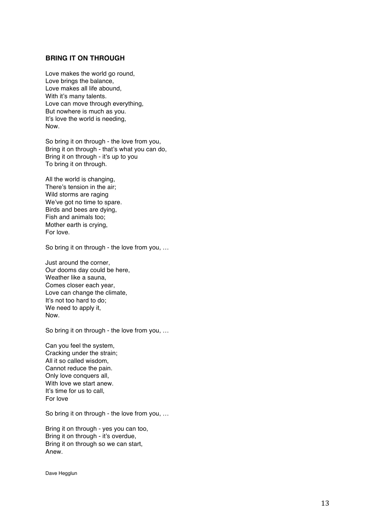#### **BRING IT ON THROUGH**

Love makes the world go round , Love brings the balance , Love makes all life abound, With it's many talents. Love can move through everything , But nowhere is much as you . It's love the world is needing. Now .

So bring it on through - the love from you, Bring it on through - that's what you can do , Bring it on through - it's up to you To bring it on through.

All the world is changing , There's tension in the air ; Wild storms are raging We've got no time to spare . Birds and bees are dying , Fish and animals too ; Mother earth is crying , For love .

So bring it on through - the love from you, ...

Just around the corner , Our dooms day could be here , Weather like a sauna , Comes closer each year , Love can change the climate, It's not too hard to do; We need to apply it, Now.

So bring it on through - the love from you, ...

Can you feel the system , Cracking under the strain; All it so called wisdom, Cannot reduce the pain . Only love conquers all , With love we start anew . It's time for us to call,<br>For love

So bring it on through - the love from you, ...

Bring it on through - yes you can too , Bring it on through - it's overdue, Bring it on through so we can s tart , Anew .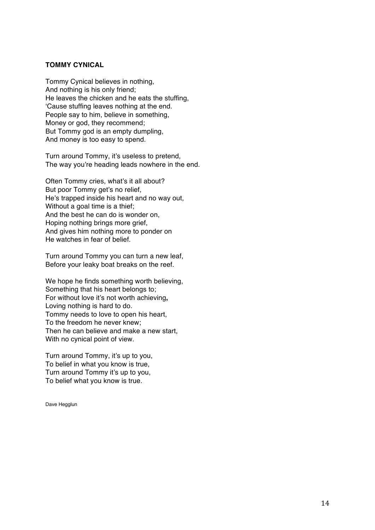# **TOMMY CYNICAL**

Tommy Cynical believes in nothing, And nothing is his only friend; He leaves the chicken and he eats the stuffing, 'Cause stuffing leaves nothing at the end. People say to him, believe in something, Money or god, they recommend; But Tommy god is an empty dumpling, And money is too easy to spend.

Turn around Tommy, it's useless to pretend, The way you're heading leads nowhere in the end.

Often Tommy cries, what's it all about? But poor Tommy get's no relief, He's trapped inside his heart and no way out, Without a goal time is a thief; And the best he can do is wonder on, Hoping nothing brings more grief, And gives him nothing more to ponder on He watches in fear of belief.

Turn around Tommy you can turn a new leaf, Before your leaky boat breaks on the reef.

We hope he finds something worth believing, Something that his heart belongs to; For without love it's not worth achieving**,** Loving nothing is hard to do. Tommy needs to love to open his heart, To the freedom he never knew; Then he can believe and make a new start, With no cynical point of view.

Turn around Tommy, it's up to you, To belief in what you know is true, Turn around Tommy it's up to you, To belief what you know is true.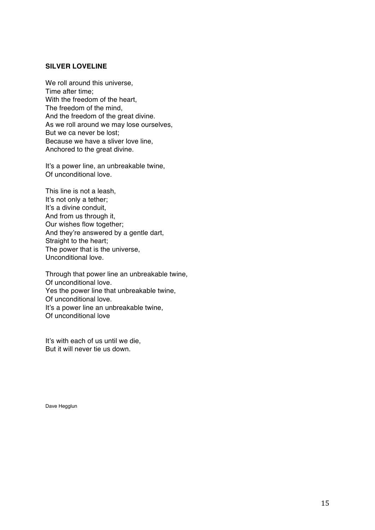# **SILVER LOVELINE**

We roll around this universe, Time after time; With the freedom of the heart, The freedom of the mind, And the freedom of the great divine. As we roll around we may lose ourselves, But we ca never be lost; Because we have a sliver love line, Anchored to the great divine.

It's a power line, an unbreakable twine, Of unconditional love.

This line is not a leash, It's not only a tether; It's a divine conduit, And from us through it, Our wishes flow together; And they're answered by a gentle dart, Straight to the heart; The power that is the universe, Unconditional love.

Through that power line an unbreakable twine, Of unconditional love. Yes the power line that unbreakable twine, Of unconditional love. It's a power line an unbreakable twine, Of unconditional love

It's with each of us until we die, But it will never tie us down.